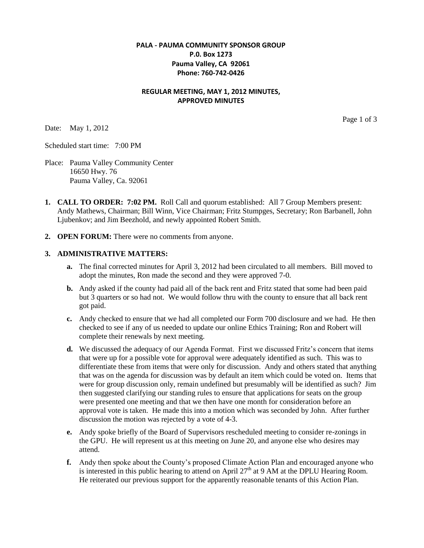# **PALA - PAUMA COMMUNITY SPONSOR GROUP P.0. Box 1273 Pauma Valley, CA 92061 Phone: 760-742-0426**

## **REGULAR MEETING, MAY 1, 2012 MINUTES, APPROVED MINUTES**

Date: May 1, 2012

Page 1 of 3

Scheduled start time: 7:00 PM

- Place: Pauma Valley Community Center 16650 Hwy. 76 Pauma Valley, Ca. 92061
- **1. CALL TO ORDER: 7:02 PM.** Roll Call and quorum established: All 7 Group Members present: Andy Mathews, Chairman; Bill Winn, Vice Chairman; Fritz Stumpges, Secretary; Ron Barbanell, John Ljubenkov; and Jim Beezhold, and newly appointed Robert Smith.
- **2. OPEN FORUM:** There were no comments from anyone.

#### **3. ADMINISTRATIVE MATTERS:**

- **a.** The final corrected minutes for April 3, 2012 had been circulated to all members. Bill moved to adopt the minutes, Ron made the second and they were approved 7-0.
- **b.** Andy asked if the county had paid all of the back rent and Fritz stated that some had been paid but 3 quarters or so had not. We would follow thru with the county to ensure that all back rent got paid.
- **c.** Andy checked to ensure that we had all completed our Form 700 disclosure and we had. He then checked to see if any of us needed to update our online Ethics Training; Ron and Robert will complete their renewals by next meeting.
- **d.** We discussed the adequacy of our Agenda Format. First we discussed Fritz's concern that items that were up for a possible vote for approval were adequately identified as such. This was to differentiate these from items that were only for discussion. Andy and others stated that anything that was on the agenda for discussion was by default an item which could be voted on. Items that were for group discussion only, remain undefined but presumably will be identified as such? Jim then suggested clarifying our standing rules to ensure that applications for seats on the group were presented one meeting and that we then have one month for consideration before an approval vote is taken. He made this into a motion which was seconded by John. After further discussion the motion was rejected by a vote of 4-3.
- **e.** Andy spoke briefly of the Board of Supervisors rescheduled meeting to consider re-zonings in the GPU. He will represent us at this meeting on June 20, and anyone else who desires may attend.
- **f.** Andy then spoke about the County's proposed Climate Action Plan and encouraged anyone who is interested in this public hearing to attend on April  $27<sup>th</sup>$  at 9 AM at the DPLU Hearing Room. He reiterated our previous support for the apparently reasonable tenants of this Action Plan.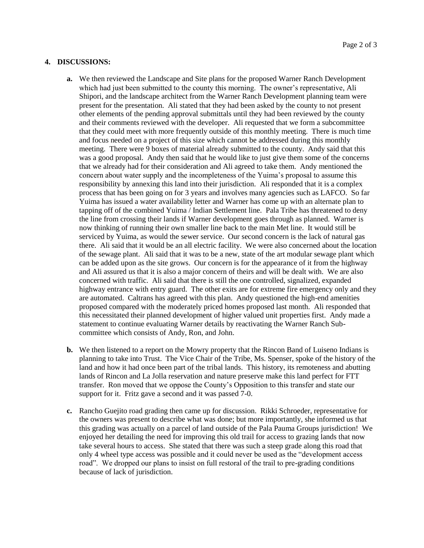### **4. DISCUSSIONS:**

- **a.** We then reviewed the Landscape and Site plans for the proposed Warner Ranch Development which had just been submitted to the county this morning. The owner's representative, Ali Shipori, and the landscape architect from the Warner Ranch Development planning team were present for the presentation. Ali stated that they had been asked by the county to not present other elements of the pending approval submittals until they had been reviewed by the county and their comments reviewed with the developer. Ali requested that we form a subcommittee that they could meet with more frequently outside of this monthly meeting. There is much time and focus needed on a project of this size which cannot be addressed during this monthly meeting. There were 9 boxes of material already submitted to the county. Andy said that this was a good proposal. Andy then said that he would like to just give them some of the concerns that we already had for their consideration and Ali agreed to take them. Andy mentioned the concern about water supply and the incompleteness of the Yuima's proposal to assume this responsibility by annexing this land into their jurisdiction. Ali responded that it is a complex process that has been going on for 3 years and involves many agencies such as LAFCO. So far Yuima has issued a water availability letter and Warner has come up with an alternate plan to tapping off of the combined Yuima / Indian Settlement line. Pala Tribe has threatened to deny the line from crossing their lands if Warner development goes through as planned. Warner is now thinking of running their own smaller line back to the main Met line. It would still be serviced by Yuima, as would the sewer service. Our second concern is the lack of natural gas there. Ali said that it would be an all electric facility. We were also concerned about the location of the sewage plant. Ali said that it was to be a new, state of the art modular sewage plant which can be added upon as the site grows. Our concern is for the appearance of it from the highway and Ali assured us that it is also a major concern of theirs and will be dealt with. We are also concerned with traffic. Ali said that there is still the one controlled, signalized, expanded highway entrance with entry guard. The other exits are for extreme fire emergency only and they are automated. Caltrans has agreed with this plan. Andy questioned the high-end amenities proposed compared with the moderately priced homes proposed last month. Ali responded that this necessitated their planned development of higher valued unit properties first. Andy made a statement to continue evaluating Warner details by reactivating the Warner Ranch Subcommittee which consists of Andy, Ron, and John.
- **b.** We then listened to a report on the Mowry property that the Rincon Band of Luiseno Indians is planning to take into Trust. The Vice Chair of the Tribe, Ms. Spenser, spoke of the history of the land and how it had once been part of the tribal lands. This history, its remoteness and abutting lands of Rincon and La Jolla reservation and nature preserve make this land perfect for FTT transfer. Ron moved that we oppose the County's Opposition to this transfer and state our support for it. Fritz gave a second and it was passed 7-0.
- **c.** Rancho Guejito road grading then came up for discussion. Rikki Schroeder, representative for the owners was present to describe what was done; but more importantly, she informed us that this grading was actually on a parcel of land outside of the Pala Pauma Groups jurisdiction! We enjoyed her detailing the need for improving this old trail for access to grazing lands that now take several hours to access. She stated that there was such a steep grade along this road that only 4 wheel type access was possible and it could never be used as the "development access road". We dropped our plans to insist on full restoral of the trail to pre-grading conditions because of lack of jurisdiction.